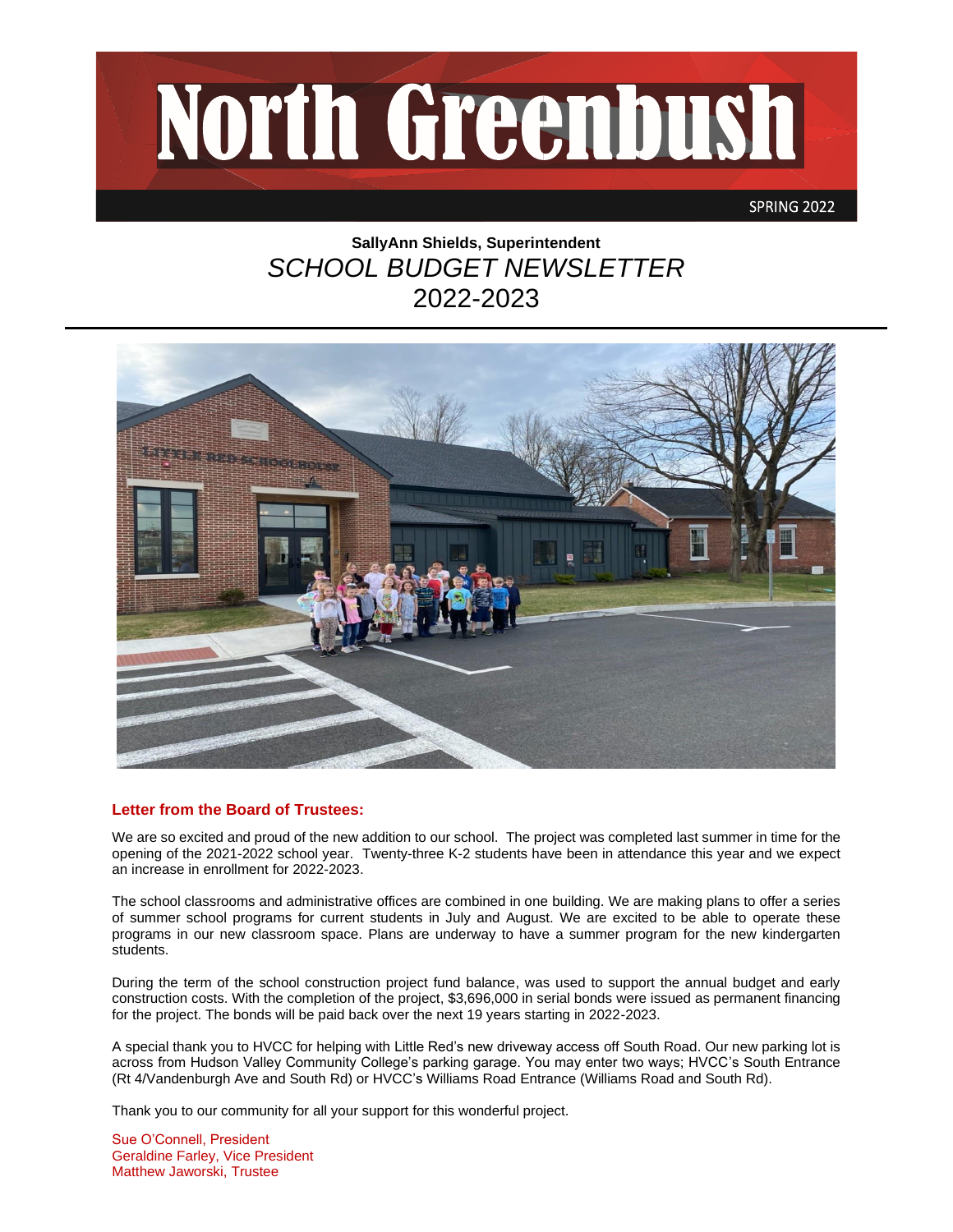

# **SallyAnn Shields, Superintendent** *SCHOOL BUDGET NEWSLETTER* 2022-2023



## **Letter from the Board of Trustees:**

We are so excited and proud of the new addition to our school. The project was completed last summer in time for the opening of the 2021-2022 school year. Twenty-three K-2 students have been in attendance this year and we expect an increase in enrollment for 2022-2023.

The school classrooms and administrative offices are combined in one building. We are making plans to offer a series of summer school programs for current students in July and August. We are excited to be able to operate these programs in our new classroom space. Plans are underway to have a summer program for the new kindergarten students.

During the term of the school construction project fund balance, was used to support the annual budget and early construction costs. With the completion of the project, \$3,696,000 in serial bonds were issued as permanent financing for the project. The bonds will be paid back over the next 19 years starting in 2022-2023.

A special thank you to HVCC for helping with Little Red's new driveway access off South Road. Our new parking lot is across from Hudson Valley Community College's parking garage. You may enter two ways; HVCC's South Entrance (Rt 4/Vandenburgh Ave and South Rd) or HVCC's Williams Road Entrance (Williams Road and South Rd).

Thank you to our community for all your support for this wonderful project.

Sue O'Connell, President Geraldine Farley, Vice President Matthew Jaworski, Trustee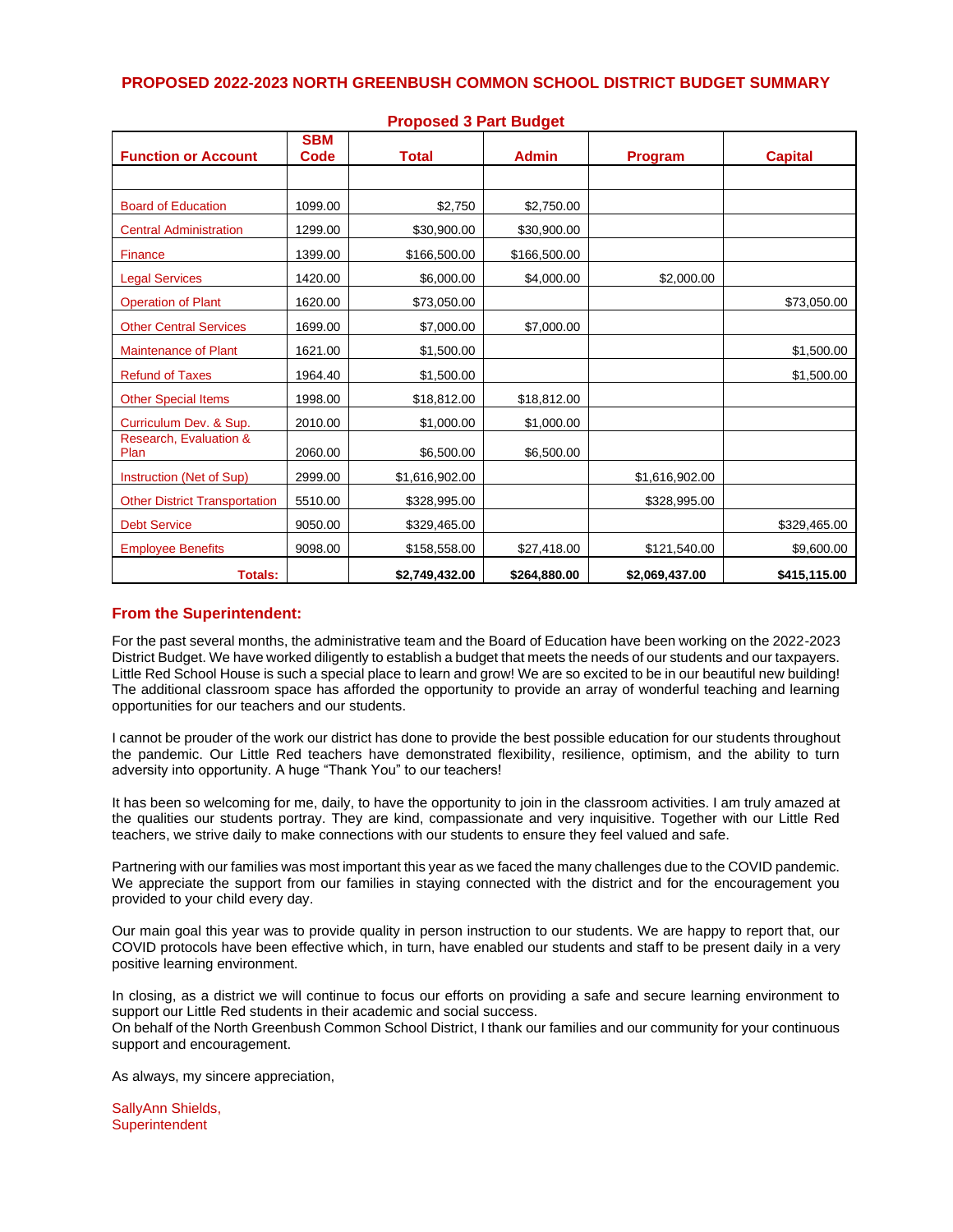| <b>Function or Account</b>           | <b>SBM</b><br>Code | <b>Total</b>   | <b>Admin</b> | <b>Program</b> | <b>Capital</b> |
|--------------------------------------|--------------------|----------------|--------------|----------------|----------------|
|                                      |                    |                |              |                |                |
| <b>Board of Education</b>            | 1099.00            | \$2,750        | \$2,750.00   |                |                |
| <b>Central Administration</b>        | 1299.00            | \$30,900.00    | \$30,900.00  |                |                |
| Finance                              | 1399.00            | \$166,500.00   | \$166,500.00 |                |                |
| <b>Legal Services</b>                | 1420.00            | \$6,000.00     | \$4,000.00   | \$2,000.00     |                |
| <b>Operation of Plant</b>            | 1620.00            | \$73,050.00    |              |                | \$73,050.00    |
| <b>Other Central Services</b>        | 1699.00            | \$7,000.00     | \$7,000.00   |                |                |
| <b>Maintenance of Plant</b>          | 1621.00            | \$1,500.00     |              |                | \$1,500.00     |
| <b>Refund of Taxes</b>               | 1964.40            | \$1,500.00     |              |                | \$1,500.00     |
| <b>Other Special Items</b>           | 1998.00            | \$18,812.00    | \$18,812.00  |                |                |
| Curriculum Dev. & Sup.               | 2010.00            | \$1,000.00     | \$1,000.00   |                |                |
| Research, Evaluation &<br>Plan       | 2060.00            | \$6,500.00     | \$6,500.00   |                |                |
| Instruction (Net of Sup)             | 2999.00            | \$1,616,902.00 |              | \$1,616,902.00 |                |
| <b>Other District Transportation</b> | 5510.00            | \$328,995.00   |              | \$328,995.00   |                |
| <b>Debt Service</b>                  | 9050.00            | \$329,465.00   |              |                | \$329,465.00   |
| <b>Employee Benefits</b>             | 9098.00            | \$158,558.00   | \$27,418.00  | \$121,540.00   | \$9,600.00     |
| <b>Totals:</b>                       |                    | \$2,749,432.00 | \$264,880.00 | \$2,069,437.00 | \$415,115.00   |

#### **Proposed 3 Part Budget**

#### **From the Superintendent:**

For the past several months, the administrative team and the Board of Education have been working on the 2022-2023 District Budget. We have worked diligently to establish a budget that meets the needs of our students and our taxpayers. Little Red School House is such a special place to learn and grow! We are so excited to be in our beautiful new building! The additional classroom space has afforded the opportunity to provide an array of wonderful teaching and learning opportunities for our teachers and our students.

I cannot be prouder of the work our district has done to provide the best possible education for our students throughout the pandemic. Our Little Red teachers have demonstrated flexibility, resilience, optimism, and the ability to turn adversity into opportunity. A huge "Thank You" to our teachers!

It has been so welcoming for me, daily, to have the opportunity to join in the classroom activities. I am truly amazed at the qualities our students portray. They are kind, compassionate and very inquisitive. Together with our Little Red teachers, we strive daily to make connections with our students to ensure they feel valued and safe.

Partnering with our families was most important this year as we faced the many challenges due to the COVID pandemic. We appreciate the support from our families in staying connected with the district and for the encouragement you provided to your child every day.

Our main goal this year was to provide quality in person instruction to our students. We are happy to report that, our COVID protocols have been effective which, in turn, have enabled our students and staff to be present daily in a very positive learning environment.

In closing, as a district we will continue to focus our efforts on providing a safe and secure learning environment to support our Little Red students in their academic and social success. On behalf of the North Greenbush Common School District, I thank our families and our community for your continuous support and encouragement.

As always, my sincere appreciation,

SallyAnn Shields, **Superintendent**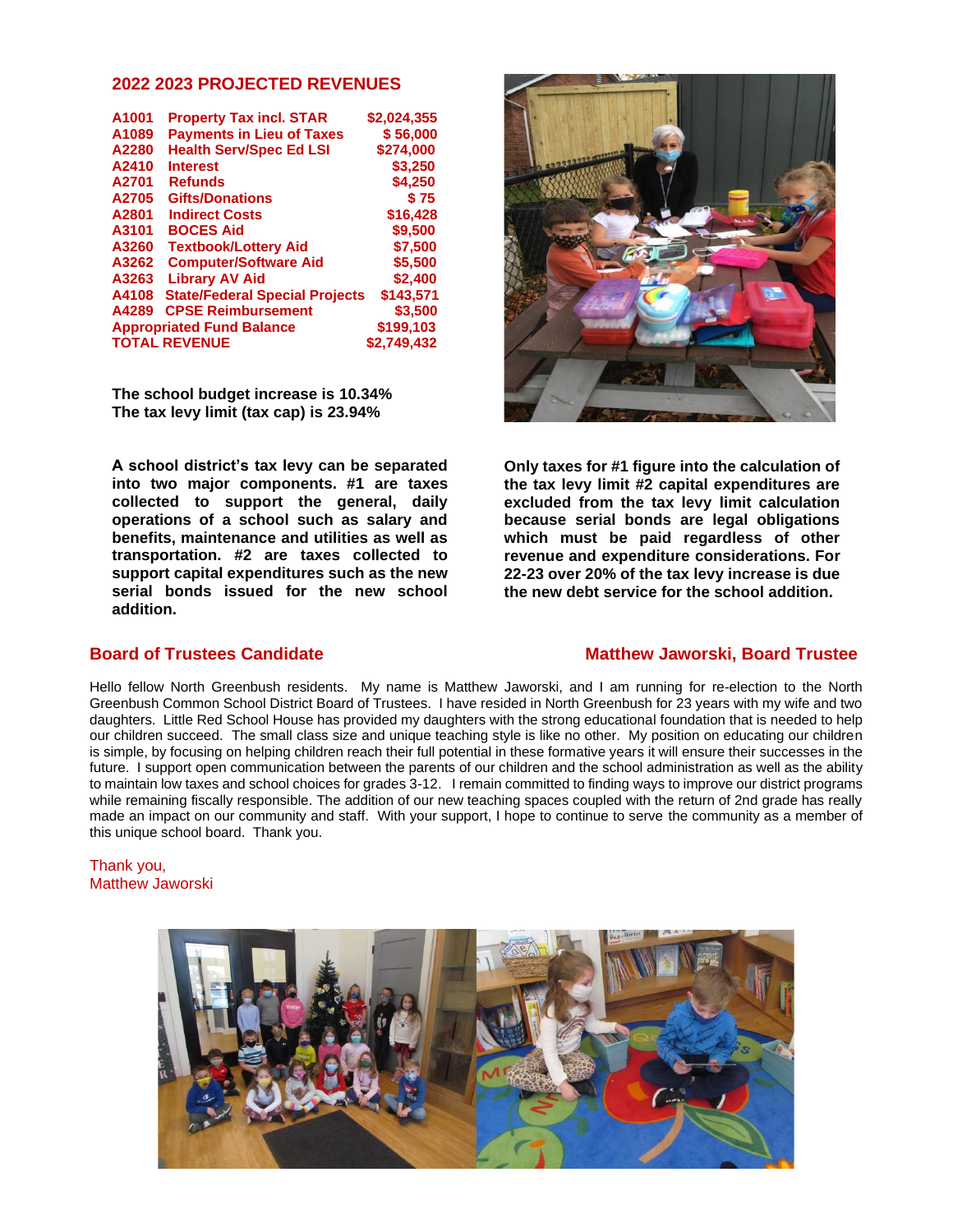#### **2022 2023 PROJECTED REVENUES**

| A1001                            | <b>Property Tax incl. STAR</b>        | \$2,024,355 |
|----------------------------------|---------------------------------------|-------------|
| A1089                            | <b>Payments in Lieu of Taxes</b>      | \$56,000    |
| A2280                            | <b>Health Serv/Spec Ed LSI</b>        | \$274,000   |
| A2410                            | <b>Interest</b>                       | \$3,250     |
| A2701                            | <b>Refunds</b>                        | \$4,250     |
| A2705                            | <b>Gifts/Donations</b>                | \$75        |
| A2801                            | <b>Indirect Costs</b>                 | \$16,428    |
| A3101                            | <b>BOCES Aid</b>                      | \$9,500     |
| A3260                            | <b>Textbook/Lottery Aid</b>           | \$7,500     |
| A3262                            | <b>Computer/Software Aid</b>          | \$5.500     |
| A3263                            | <b>Library AV Aid</b>                 | \$2,400     |
| A4108                            | <b>State/Federal Special Projects</b> | \$143.571   |
| A4289                            | <b>CPSE Reimbursement</b>             | \$3,500     |
| <b>Appropriated Fund Balance</b> | \$199,103                             |             |
|                                  | <b>TOTAL REVENUE</b>                  | \$2.749.432 |

**The school budget increase is 10.34% The tax levy limit (tax cap) is 23.94%**

**A school district's tax levy can be separated into two major components. #1 are taxes collected to support the general, daily operations of a school such as salary and benefits, maintenance and utilities as well as transportation. #2 are taxes collected to support capital expenditures such as the new serial bonds issued for the new school addition.** 



**Only taxes for #1 figure into the calculation of the tax levy limit #2 capital expenditures are excluded from the tax levy limit calculation because serial bonds are legal obligations which must be paid regardless of other revenue and expenditure considerations. For 22-23 over 20% of the tax levy increase is due the new debt service for the school addition.** 

## **Board of Trustees Candidate Matthew Jaworski, Board Trustee**

Hello fellow North Greenbush residents. My name is Matthew Jaworski, and I am running for re-election to the North Greenbush Common School District Board of Trustees. I have resided in North Greenbush for 23 years with my wife and two daughters. Little Red School House has provided my daughters with the strong educational foundation that is needed to help our children succeed. The small class size and unique teaching style is like no other. My position on educating our children is simple, by focusing on helping children reach their full potential in these formative years it will ensure their successes in the future. I support open communication between the parents of our children and the school administration as well as the ability to maintain low taxes and school choices for grades 3-12. I remain committed to finding ways to improve our district programs while remaining fiscally responsible. The addition of our new teaching spaces coupled with the return of 2nd grade has really made an impact on our community and staff. With your support, I hope to continue to serve the community as a member of this unique school board. Thank you.

#### Thank you, Matthew Jaworski

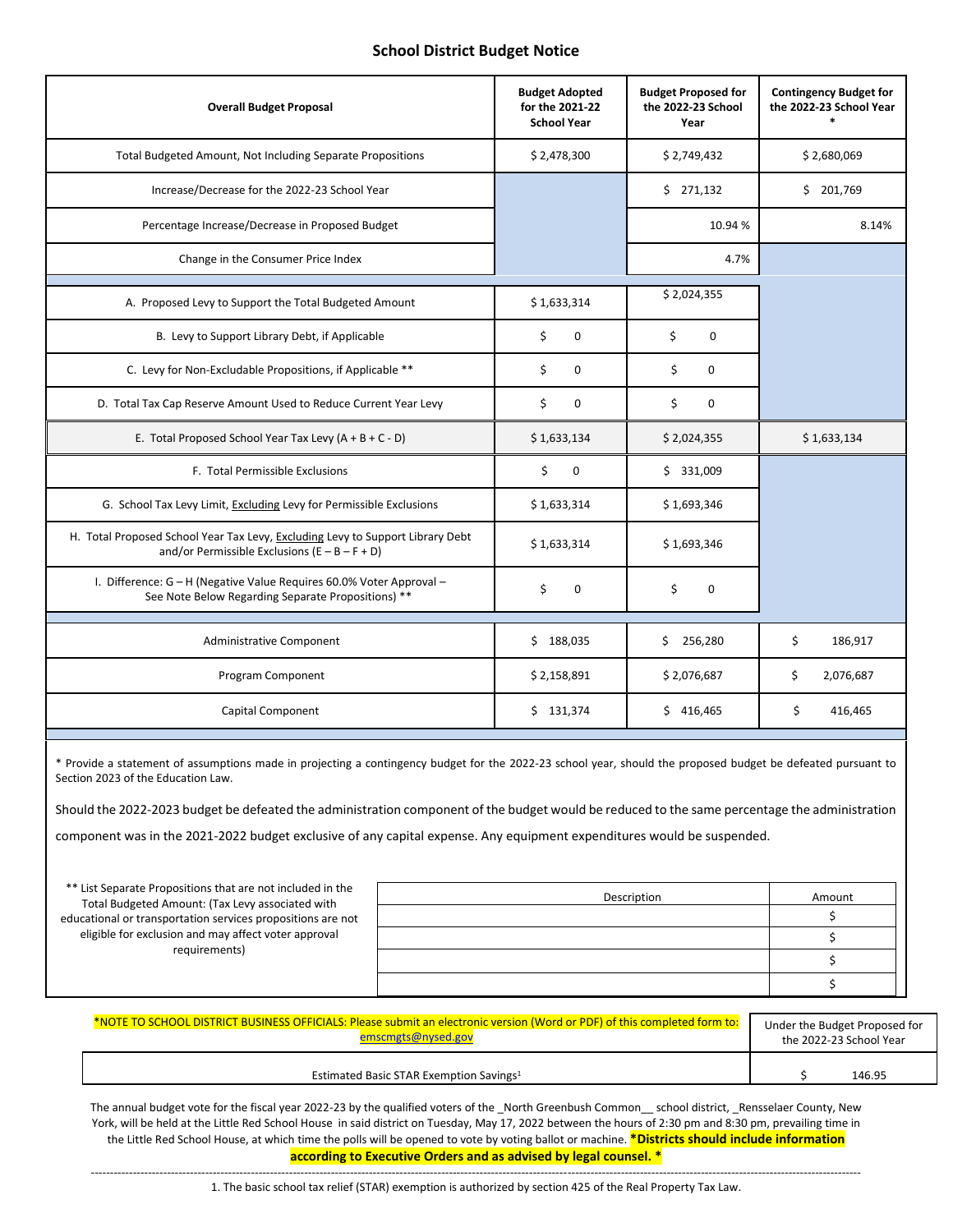### **School District Budget Notice**

| <b>Overall Budget Proposal</b>                                                                                                    | <b>Budget Adopted</b><br>for the 2021-22<br><b>School Year</b> | <b>Budget Proposed for</b><br>the 2022-23 School<br>Year | <b>Contingency Budget for</b><br>the 2022-23 School Year |
|-----------------------------------------------------------------------------------------------------------------------------------|----------------------------------------------------------------|----------------------------------------------------------|----------------------------------------------------------|
| Total Budgeted Amount, Not Including Separate Propositions                                                                        | \$2,478,300                                                    | \$2,749,432                                              | \$2,680,069                                              |
| Increase/Decrease for the 2022-23 School Year                                                                                     |                                                                | \$271,132                                                | \$201,769                                                |
| Percentage Increase/Decrease in Proposed Budget                                                                                   |                                                                | 10.94 %                                                  | 8.14%                                                    |
| Change in the Consumer Price Index                                                                                                |                                                                | 4.7%                                                     |                                                          |
| A. Proposed Levy to Support the Total Budgeted Amount                                                                             | \$1,633,314                                                    | \$2,024,355                                              |                                                          |
| B. Levy to Support Library Debt, if Applicable                                                                                    | \$<br>0                                                        | \$<br>0                                                  |                                                          |
| C. Levy for Non-Excludable Propositions, if Applicable **                                                                         | \$<br>0                                                        | \$<br>0                                                  |                                                          |
| D. Total Tax Cap Reserve Amount Used to Reduce Current Year Levy                                                                  | \$<br>$\Omega$                                                 | Ś.<br>$\Omega$                                           |                                                          |
| E. Total Proposed School Year Tax Levy $(A + B + C - D)$                                                                          | \$1,633,134                                                    | \$2,024,355                                              | \$1,633,134                                              |
| F. Total Permissible Exclusions                                                                                                   | \$<br>0                                                        | \$331,009                                                |                                                          |
| G. School Tax Levy Limit, Excluding Levy for Permissible Exclusions                                                               | \$1,633,314                                                    | \$1,693,346                                              |                                                          |
| H. Total Proposed School Year Tax Levy, Excluding Levy to Support Library Debt<br>and/or Permissible Exclusions $(E - B - F + D)$ | \$1,633,314                                                    | \$1,693,346                                              |                                                          |
| I. Difference: G - H (Negative Value Requires 60.0% Voter Approval -<br>See Note Below Regarding Separate Propositions) **        | \$<br>$\mathbf 0$                                              | \$<br>$\Omega$                                           |                                                          |
| <b>Administrative Component</b>                                                                                                   | \$188,035                                                      | 256,280<br>\$.                                           | \$<br>186,917                                            |
| Program Component                                                                                                                 | \$2,158,891                                                    | \$2,076,687                                              | \$<br>2,076,687                                          |
| Capital Component                                                                                                                 | \$131,374                                                      | \$416,465                                                | \$<br>416,465                                            |

\* Provide a statement of assumptions made in projecting a contingency budget for the 2022-23 school year, should the proposed budget be defeated pursuant to Section 2023 of the Education Law.

Should the 2022-2023 budget be defeated the administration component of the budget would be reduced to the same percentage the administration

component was in the 2021-2022 budget exclusive of any capital expense. Any equipment expenditures would be suspended.

| ** List Separate Propositions that are not included in the<br>Total Budgeted Amount: (Tax Levy associated with<br>educational or transportation services propositions are not | Description | Amount |
|-------------------------------------------------------------------------------------------------------------------------------------------------------------------------------|-------------|--------|
|                                                                                                                                                                               |             |        |
| eligible for exclusion and may affect voter approval<br>requirements)                                                                                                         |             |        |
|                                                                                                                                                                               |             |        |
|                                                                                                                                                                               |             |        |

| *NOTE TO SCHOOL DISTRICT BUSINESS OFFICIALS: Please submit an electronic version (Word or PDF) of this completed form to: | Under the Budget Proposed for |        |
|---------------------------------------------------------------------------------------------------------------------------|-------------------------------|--------|
| emscmgts@nysed.gov                                                                                                        | the 2022-23 School Year       |        |
| Estimated Basic STAR Exemption Savings <sup>1</sup>                                                                       |                               | 146.95 |

The annual budget vote for the fiscal year 2022-23 by the qualified voters of the \_North Greenbush Common\_\_ school district, \_Rensselaer County, New York, will be held at the Little Red School House in said district on Tuesday, May 17, 2022 between the hours of 2:30 pm and 8:30 pm, prevailing time in the Little Red School House, at which time the polls will be opened to vote by voting ballot or machine. **\*Districts should include information according to Executive Orders and as advised by legal counsel. \***

---------------------------------------------------------------------------------------------------------------------------------------------------------------------------------------------------------- 1. The basic school tax relief (STAR) exemption is authorized by section 425 of the Real Property Tax Law.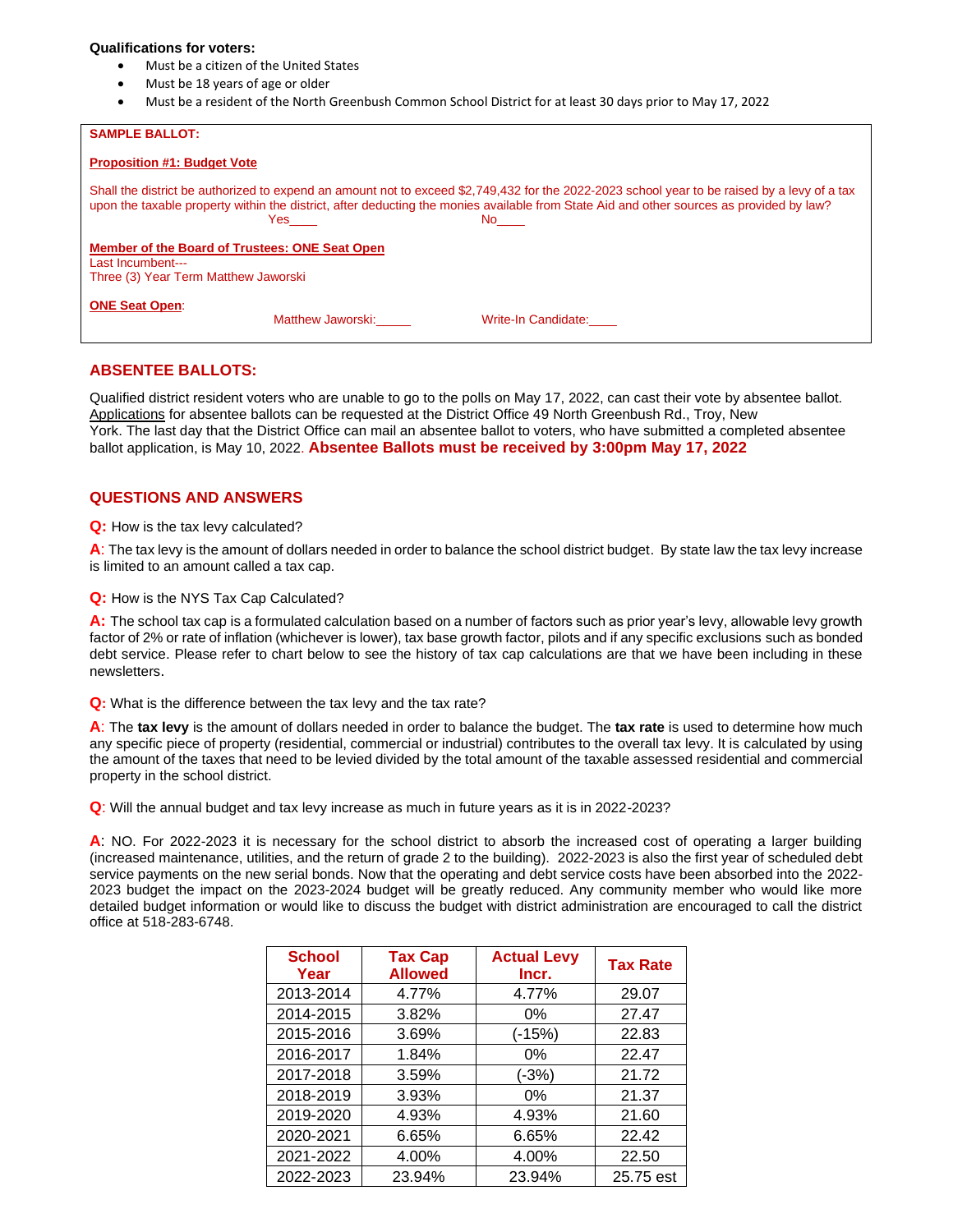#### **Qualifications for voters:**

- Must be a citizen of the United States
- Must be 18 years of age or older
- Must be a resident of the North Greenbush Common School District for at least 30 days prior to May 17, 2022

| <b>SAMPLE BALLOT:</b>                                                                                       |                   |                                                                                                                                                                                                                                                                                                  |  |
|-------------------------------------------------------------------------------------------------------------|-------------------|--------------------------------------------------------------------------------------------------------------------------------------------------------------------------------------------------------------------------------------------------------------------------------------------------|--|
| <b>Proposition #1: Budget Vote</b>                                                                          |                   |                                                                                                                                                                                                                                                                                                  |  |
|                                                                                                             | Yes a             | Shall the district be authorized to expend an amount not to exceed \$2,749,432 for the 2022-2023 school year to be raised by a levy of a tax<br>upon the taxable property within the district, after deducting the monies available from State Aid and other sources as provided by law?<br>No l |  |
| Member of the Board of Trustees: ONE Seat Open<br>Last Incumbent---<br>Three (3) Year Term Matthew Jaworski |                   |                                                                                                                                                                                                                                                                                                  |  |
| <b>ONE Seat Open:</b>                                                                                       | Matthew Jaworski: | Write-In Candidate:                                                                                                                                                                                                                                                                              |  |

#### **ABSENTEE BALLOTS:**

Qualified district resident voters who are unable to go to the polls on May 17, 2022, can cast their vote by absentee ballot. Applications for absentee ballots can be requested at the District Office 49 North Greenbush Rd., Troy, New York. The last day that the District Office can mail an absentee ballot to voters, who have submitted a completed absentee ballot application, is May 10, 2022. **Absentee Ballots must be received by 3:00pm May 17, 2022**

#### **QUESTIONS AND ANSWERS**

**Q:** How is the tax levy calculated?

**A**: The tax levy is the amount of dollars needed in order to balance the school district budget. By state law the tax levy increase is limited to an amount called a tax cap.

**Q:** How is the NYS Tax Cap Calculated?

**A:** The school tax cap is a formulated calculation based on a number of factors such as prior year's levy, allowable levy growth factor of 2% or rate of inflation (whichever is lower), tax base growth factor, pilots and if any specific exclusions such as bonded debt service. Please refer to chart below to see the history of tax cap calculations are that we have been including in these newsletters.

**Q:** What is the difference between the tax levy and the tax rate?

**A**: The **tax levy** is the amount of dollars needed in order to balance the budget. The **tax rate** is used to determine how much any specific piece of property (residential, commercial or industrial) contributes to the overall tax levy. It is calculated by using the amount of the taxes that need to be levied divided by the total amount of the taxable assessed residential and commercial property in the school district.

**Q**: Will the annual budget and tax levy increase as much in future years as it is in 2022-2023?

**A**: NO. For 2022-2023 it is necessary for the school district to absorb the increased cost of operating a larger building (increased maintenance, utilities, and the return of grade 2 to the building). 2022-2023 is also the first year of scheduled debt service payments on the new serial bonds. Now that the operating and debt service costs have been absorbed into the 2022- 2023 budget the impact on the 2023-2024 budget will be greatly reduced. Any community member who would like more detailed budget information or would like to discuss the budget with district administration are encouraged to call the district office at 518-283-6748.

| <b>School</b><br>Year | <b>Tax Cap</b><br><b>Allowed</b> | <b>Actual Levy</b><br>Incr. | <b>Tax Rate</b> |
|-----------------------|----------------------------------|-----------------------------|-----------------|
| 2013-2014             | 4.77%                            | 4.77%                       | 29.07           |
| 2014-2015             | 3.82%                            | $0\%$                       | 27.47           |
| 2015-2016             | 3.69%                            | (-15%)                      | 22.83           |
| 2016-2017             | 1.84%                            | $0\%$                       | 22.47           |
| 2017-2018             | 3.59%                            | $(-3%)$                     | 21.72           |
| 2018-2019             | 3.93%                            | $0\%$                       | 21.37           |
| 2019-2020             | 4.93%                            | 4.93%                       | 21.60           |
| 2020-2021             | 6.65%                            | 6.65%                       | 22.42           |
| 2021-2022             | 4.00%                            | 4.00%                       | 22.50           |
| 2022-2023             | 23.94%                           | 23.94%                      | 25.75 est       |